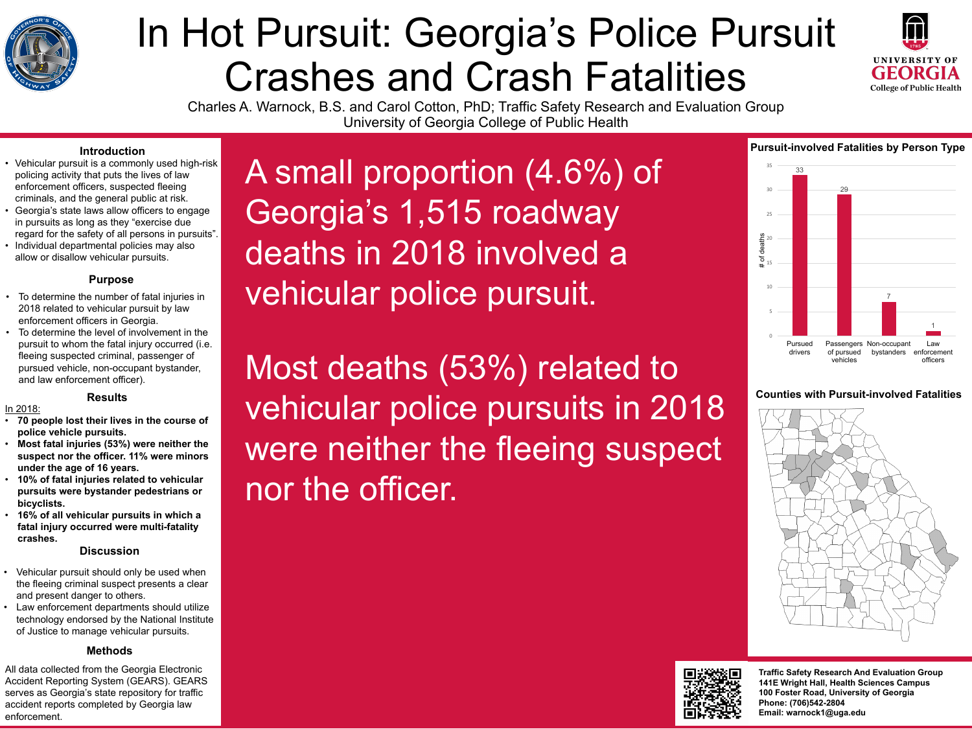

# In Hot Pursuit: Georgia's Police Pursuit Crashes and Crash Fatalities Charles A. Warnock, B.S. and Carol Cotton, PhD; Traffic Safety Research and Evaluation Group University of Georgia College of Public Health

A small proportion (4.6%) of Georgia's 1,515 roadway deaths in 2018 involved a vehicular police pursuit.

#### **Counties with Pursuit-involved Fatalities**



Most deaths (53%) related to vehicular police pursuits in 2018 were neither the fleeing suspect nor the officer.







# **Pursuit-involved Fatalities by Person Type**



- Vehicular pursuit is a commonly used high-risk policing activity that puts the lives of law enforcement officers, suspected fleeing criminals, and the general public at risk.
- Georgia's state laws allow officers to engage in pursuits as long as they "exercise due regard for the safety of all persons in pursuits".
- Individual departmental policies may also allow or disallow vehicular pursuits.

**Traffic Safety Research And Evaluation Group 141E Wright Hall, Health Sciences Campus 100 Foster Road, University of Georgia Phone: (706)542-2804 Email: warnock1@uga.edu**

# **Introduction**

# **Purpose**

- To determine the number of fatal injuries in 2018 related to vehicular pursuit by law enforcement officers in Georgia.
- To determine the level of involvement in the pursuit to whom the fatal injury occurred (i.e. fleeing suspected criminal, passenger of pursued vehicle, non-occupant bystander, and law enforcement officer).

## **Results**

## In 2018:

- **70 people lost their lives in the course of police vehicle pursuits.**
- **Most fatal injuries (53%) were neither the suspect nor the officer. 11% were minors under the age of 16 years.**
- **10% of fatal injuries related to vehicular pursuits were bystander pedestrians or bicyclists.**
- **16% of all vehicular pursuits in which a fatal injury occurred were multi-fatality crashes.**

# **Discussion**

- Vehicular pursuit should only be used when the fleeing criminal suspect presents a clear and present danger to others.
- Law enforcement departments should utilize technology endorsed by the National Institute of Justice to manage vehicular pursuits.

All data collected from the Georgia Electronic Accident Reporting System (GEARS). GEARS serves as Georgia's state repository for traffic accident reports completed by Georgia law enforcement.

# **Methods**